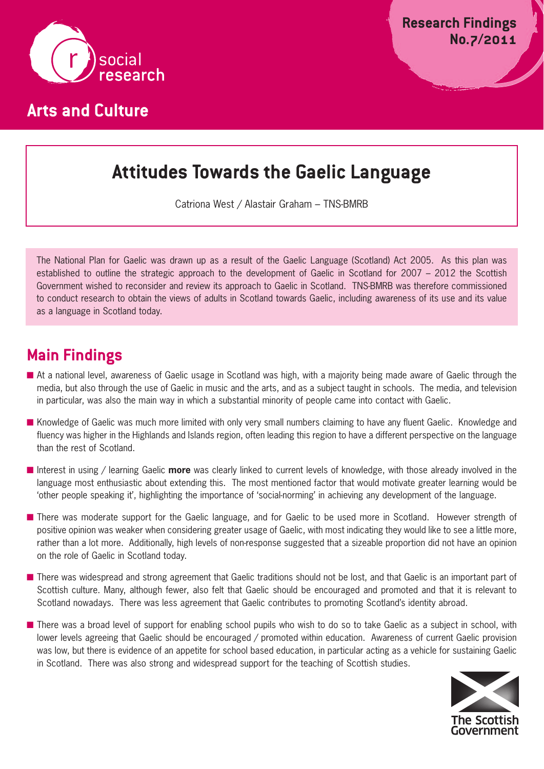

# **Attitudes Towards the Gaelic Language**

Catriona West / Alastair Graham – TNS-BMRB

The National Plan for Gaelic was drawn up as a result of the Gaelic Language (Scotland) Act 2005. As this plan was established to outline the strategic approach to the development of Gaelic in Scotland for 2007 – 2012 the Scottish Government wished to reconsider and review its approach to Gaelic in Scotland. TNS-BMRB was therefore commissioned to conduct research to obtain the views of adults in Scotland towards Gaelic, including awareness of its use and its value as a language in Scotland today.

# **Main Findings**

- At a national level, awareness of Gaelic usage in Scotland was high, with a majority being made aware of Gaelic through the media, but also through the use of Gaelic in music and the arts, and as a subject taught in schools. The media, and television in particular, was also the main way in which a substantial minority of people came into contact with Gaelic.
- Knowledge of Gaelic was much more limited with only very small numbers claiming to have any fluent Gaelic. Knowledge and fluency was higher in the Highlands and Islands region, often leading this region to have a different perspective on the language than the rest of Scotland.
- Interest in using / learning Gaelic **more** was clearly linked to current levels of knowledge, with those already involved in the language most enthusiastic about extending this. The most mentioned factor that would motivate greater learning would be 'other people speaking it', highlighting the importance of 'social-norming' in achieving any development of the language.
- There was moderate support for the Gaelic language, and for Gaelic to be used more in Scotland. However strength of positive opinion was weaker when considering greater usage of Gaelic, with most indicating they would like to see a little more, rather than a lot more. Additionally, high levels of non-response suggested that a sizeable proportion did not have an opinion on the role of Gaelic in Scotland today.
- There was widespread and strong agreement that Gaelic traditions should not be lost, and that Gaelic is an important part of Scottish culture. Many, although fewer, also felt that Gaelic should be encouraged and promoted and that it is relevant to Scotland nowadays. There was less agreement that Gaelic contributes to promoting Scotland's identity abroad.
- There was a broad level of support for enabling school pupils who wish to do so to take Gaelic as a subject in school, with lower levels agreeing that Gaelic should be encouraged / promoted within education. Awareness of current Gaelic provision was low, but there is evidence of an appetite for school based education, in particular acting as a vehicle for sustaining Gaelic in Scotland. There was also strong and widespread support for the teaching of Scottish studies.

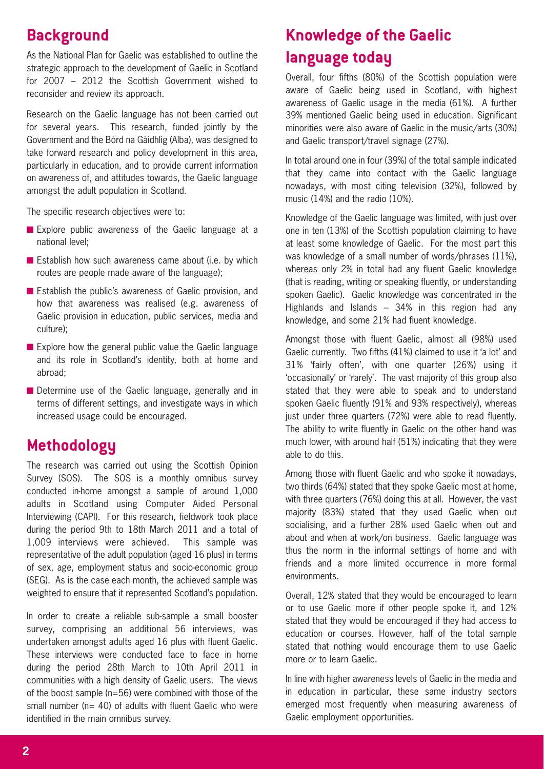## **Background**

As the National Plan for Gaelic was established to outline the strategic approach to the development of Gaelic in Scotland for 2007 – 2012 the Scottish Government wished to reconsider and review its approach.

Research on the Gaelic language has not been carried out for several years. This research, funded jointly by the Government and the Bòrd na Gàidhlig (Alba), was designed to take forward research and policy development in this area, particularly in education, and to provide current information on awareness of, and attitudes towards, the Gaelic language amongst the adult population in Scotland.

The specific research objectives were to:

- Explore public awareness of the Gaelic language at a national level;
- Establish how such awareness came about (i.e. by which routes are people made aware of the language);
- Establish the public's awareness of Gaelic provision, and how that awareness was realised (e.g. awareness of Gaelic provision in education, public services, media and culture);
- Explore how the general public value the Gaelic language and its role in Scotland's identity, both at home and abroad;
- Determine use of the Gaelic language, generally and in terms of different settings, and investigate ways in which increased usage could be encouraged.

## **Methodology**

The research was carried out using the Scottish Opinion Survey (SOS). The SOS is a monthly omnibus survey conducted in-home amongst a sample of around 1,000 adults in Scotland using Computer Aided Personal Interviewing (CAPI). For this research, fieldwork took place during the period 9th to 18th March 2011 and a total of 1,009 interviews were achieved. This sample was representative of the adult population (aged 16 plus) in terms of sex, age, employment status and socio-economic group (SEG). As is the case each month, the achieved sample was weighted to ensure that it represented Scotland's population.

In order to create a reliable sub-sample a small booster survey, comprising an additional 56 interviews, was undertaken amongst adults aged 16 plus with fluent Gaelic. These interviews were conducted face to face in home during the period 28th March to 10th April 2011 in communities with a high density of Gaelic users. The views of the boost sample (n=56) were combined with those of the small number ( $n= 40$ ) of adults with fluent Gaelic who were identified in the main omnibus survey.

# **Knowledge of the Gaelic language today**

Overall, four fifths (80%) of the Scottish population were aware of Gaelic being used in Scotland, with highest awareness of Gaelic usage in the media (61%). A further 39% mentioned Gaelic being used in education. Significant minorities were also aware of Gaelic in the music/arts (30%) and Gaelic transport/travel signage (27%).

In total around one in four (39%) of the total sample indicated that they came into contact with the Gaelic language nowadays, with most citing television (32%), followed by music (14%) and the radio (10%).

Knowledge of the Gaelic language was limited, with just over one in ten (13%) of the Scottish population claiming to have at least some knowledge of Gaelic. For the most part this was knowledge of a small number of words/phrases (11%), whereas only 2% in total had any fluent Gaelic knowledge (that is reading, writing or speaking fluently, or understanding spoken Gaelic). Gaelic knowledge was concentrated in the Highlands and Islands – 34% in this region had any knowledge, and some 21% had fluent knowledge.

Amongst those with fluent Gaelic, almost all (98%) used Gaelic currently. Two fifths (41%) claimed to use it 'a lot' and 31% 'fairly often', with one quarter (26%) using it 'occasionally' or 'rarely'. The vast majority of this group also stated that they were able to speak and to understand spoken Gaelic fluently (91% and 93% respectively), whereas just under three quarters (72%) were able to read fluently. The ability to write fluently in Gaelic on the other hand was much lower, with around half (51%) indicating that they were able to do this.

Among those with fluent Gaelic and who spoke it nowadays, two thirds (64%) stated that they spoke Gaelic most at home, with three quarters (76%) doing this at all. However, the vast majority (83%) stated that they used Gaelic when out socialising, and a further 28% used Gaelic when out and about and when at work/on business. Gaelic language was thus the norm in the informal settings of home and with friends and a more limited occurrence in more formal environments.

Overall, 12% stated that they would be encouraged to learn or to use Gaelic more if other people spoke it, and 12% stated that they would be encouraged if they had access to education or courses. However, half of the total sample stated that nothing would encourage them to use Gaelic more or to learn Gaelic.

In line with higher awareness levels of Gaelic in the media and in education in particular, these same industry sectors emerged most frequently when measuring awareness of Gaelic employment opportunities.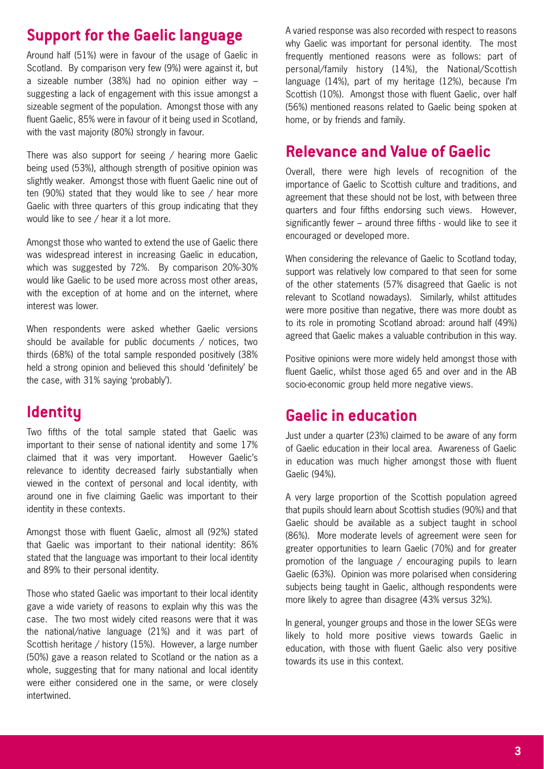## **Support for the Gaelic language**

Around half (51%) were in favour of the usage of Gaelic in Scotland. By comparison very few (9%) were against it, but a sizeable number (38%) had no opinion either way – suggesting a lack of engagement with this issue amongst a sizeable segment of the population. Amongst those with any fluent Gaelic, 85% were in favour of it being used in Scotland, with the vast majority (80%) strongly in favour.

There was also support for seeing / hearing more Gaelic being used (53%), although strength of positive opinion was slightly weaker. Amongst those with fluent Gaelic nine out of ten (90%) stated that they would like to see / hear more Gaelic with three quarters of this group indicating that they would like to see / hear it a lot more.

Amongst those who wanted to extend the use of Gaelic there was widespread interest in increasing Gaelic in education, which was suggested by 72%. By comparison 20%-30% would like Gaelic to be used more across most other areas, with the exception of at home and on the internet, where interest was lower.

When respondents were asked whether Gaelic versions should be available for public documents / notices, two thirds (68%) of the total sample responded positively (38% held a strong opinion and believed this should 'definitely' be the case, with 31% saying 'probably').

## **Identity**

Two fifths of the total sample stated that Gaelic was important to their sense of national identity and some 17% claimed that it was very important. However Gaelic's relevance to identity decreased fairly substantially when viewed in the context of personal and local identity, with around one in five claiming Gaelic was important to their identity in these contexts.

Amongst those with fluent Gaelic, almost all (92%) stated that Gaelic was important to their national identity: 86% stated that the language was important to their local identity and 89% to their personal identity.

Those who stated Gaelic was important to their local identity gave a wide variety of reasons to explain why this was the case. The two most widely cited reasons were that it was the national/native language (21%) and it was part of Scottish heritage / history (15%). However, a large number (50%) gave a reason related to Scotland or the nation as a whole, suggesting that for many national and local identity were either considered one in the same, or were closely intertwined.

A varied response was also recorded with respect to reasons why Gaelic was important for personal identity. The most frequently mentioned reasons were as follows: part of personal/family history (14%), the National/Scottish language (14%), part of my heritage (12%), because I'm Scottish (10%). Amongst those with fluent Gaelic, over half (56%) mentioned reasons related to Gaelic being spoken at home, or by friends and family.

#### **Relevance and Value of Gaelic**

Overall, there were high levels of recognition of the importance of Gaelic to Scottish culture and traditions, and agreement that these should not be lost, with between three quarters and four fifths endorsing such views. However, significantly fewer – around three fifths - would like to see it encouraged or developed more.

When considering the relevance of Gaelic to Scotland today, support was relatively low compared to that seen for some of the other statements (57% disagreed that Gaelic is not relevant to Scotland nowadays). Similarly, whilst attitudes were more positive than negative, there was more doubt as to its role in promoting Scotland abroad: around half (49%) agreed that Gaelic makes a valuable contribution in this way.

Positive opinions were more widely held amongst those with fluent Gaelic, whilst those aged 65 and over and in the AB socio-economic group held more negative views.

## **Gaelic in education**

Just under a quarter (23%) claimed to be aware of any form of Gaelic education in their local area. Awareness of Gaelic in education was much higher amongst those with fluent Gaelic (94%).

A very large proportion of the Scottish population agreed that pupils should learn about Scottish studies (90%) and that Gaelic should be available as a subject taught in school (86%). More moderate levels of agreement were seen for greater opportunities to learn Gaelic (70%) and for greater promotion of the language / encouraging pupils to learn Gaelic (63%). Opinion was more polarised when considering subjects being taught in Gaelic, although respondents were more likely to agree than disagree (43% versus 32%).

In general, younger groups and those in the lower SEGs were likely to hold more positive views towards Gaelic in education, with those with fluent Gaelic also very positive towards its use in this context.